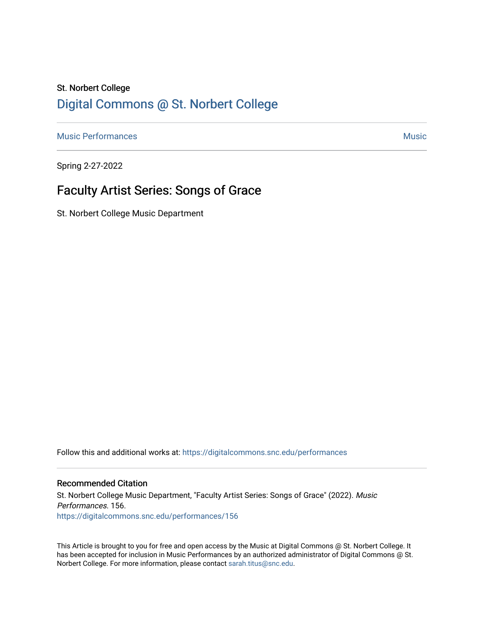## St. Norbert College [Digital Commons @ St. Norbert College](https://digitalcommons.snc.edu/)

[Music Performances](https://digitalcommons.snc.edu/performances) and the contract of the contract of the contract of the contract of the contract of the contract of the contract of the contract of the contract of the contract of the contract of the contract of the con

Spring 2-27-2022

# Faculty Artist Series: Songs of Grace

St. Norbert College Music Department

Follow this and additional works at: [https://digitalcommons.snc.edu/performances](https://digitalcommons.snc.edu/performances?utm_source=digitalcommons.snc.edu%2Fperformances%2F156&utm_medium=PDF&utm_campaign=PDFCoverPages)

#### Recommended Citation

St. Norbert College Music Department, "Faculty Artist Series: Songs of Grace" (2022). Music Performances. 156. [https://digitalcommons.snc.edu/performances/156](https://digitalcommons.snc.edu/performances/156?utm_source=digitalcommons.snc.edu%2Fperformances%2F156&utm_medium=PDF&utm_campaign=PDFCoverPages) 

This Article is brought to you for free and open access by the Music at Digital Commons @ St. Norbert College. It has been accepted for inclusion in Music Performances by an authorized administrator of Digital Commons @ St. Norbert College. For more information, please contact [sarah.titus@snc.edu](mailto:sarah.titus@snc.edu).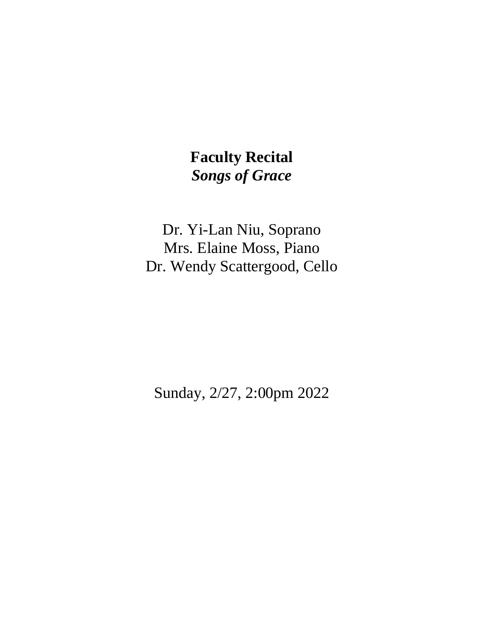# **Faculty Recital** *Songs of Grace*

Dr. Yi-Lan Niu, Soprano Mrs. Elaine Moss, Piano Dr. Wendy Scattergood, Cello

Sunday, 2/27, 2:00pm 2022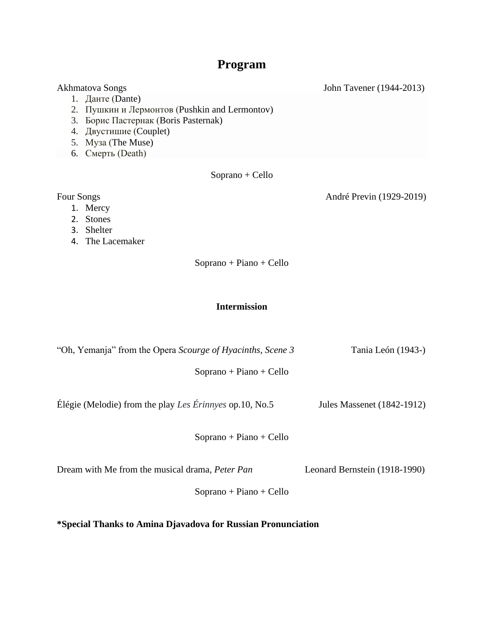## **Program**

Akhmatova Songs John Tavener (1944-2013) 1. Данте (Dante) 2. Пушкин и Лермонтов (Pushkin and Lermontov) 3. Борис Пастернак (Boris Pasternak) 4. Двустишие (Couplet) 5. Муза (The Muse) 6. Смерть (Death) Soprano + Cello Four Songs André Previn (1929-2019)

- 1. Mercy
- 2. Stones
- 3. Shelter
- 4. The Lacemaker

Soprano + Piano + Cello

### **Intermission**

"Oh, Yemanja" from the Opera *Scourge of Hyacinths, Scene 3* Tania León (1943-) Soprano + Piano + Cello

Élégie (Melodie) from the play *Les Érinnyes* op.10, No.5 Jules Massenet (1842-1912)

Soprano + Piano + Cello

Dream with Me from the musical drama, *Peter Pan* Leonard Bernstein (1918-1990)

Soprano + Piano + Cello

**\*Special Thanks to Amina Djavadova for Russian Pronunciation**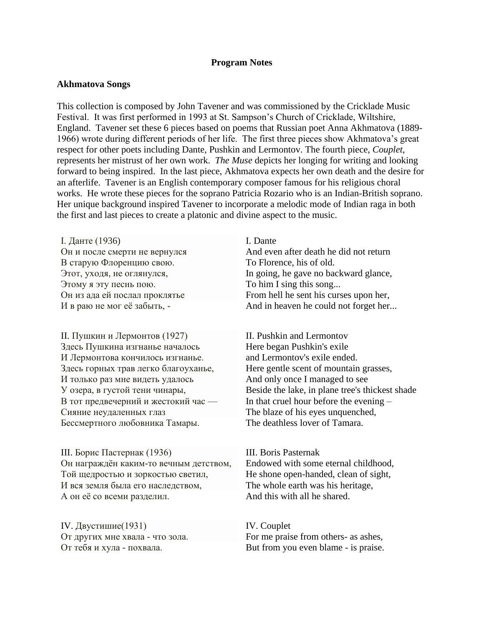#### **Program Notes**

#### **Akhmatova Songs**

This collection is composed by John Tavener and was commissioned by the Cricklade Music Festival. It was first performed in 1993 at St. Sampson's Church of Cricklade, Wiltshire, England. Tavener set these 6 pieces based on poems that Russian poet Anna Akhmatova (1889- 1966) wrote during different periods of her life. The first three pieces show Akhmatova's great respect for other poets including Dante, Pushkin and Lermontov. The fourth piece, *Couplet,* represents her mistrust of her own work. *The Muse* depicts her longing for writing and looking forward to being inspired. In the last piece, Akhmatova expects her own death and the desire for an afterlife. Tavener is an English contemporary composer famous for his religious choral works. He wrote these pieces for the soprano Patricia Rozario who is an Indian-British soprano. Her unique background inspired Tavener to incorporate a melodic mode of Indian raga in both the first and last pieces to create a platonic and divine aspect to the music.

I. Данте (1936) Он и после смерти не вернулся В старую Флоренцию свою. Этот, уходя, не оглянулся, Этому я эту песнь пою. Он из ада ей послал проклятье И в раю не мог её забыть, -

II. Пушкин и Лермонтов (1927) Здесь Пушкина изгнанье началось И Лермонтова кончилось изгнанье. Здесь горных трав легко благоуханье, И только раз мне видеть удалось У озера, в густой тени чинары, В тот предвечерний и жестокий час — Сияние неудаленных глаз Бессмертного любовника Тамары.

III. Борис Пастернак (1936) Он награждён каким-то вечным детством, Той щедростью и зоркостью светил, И вся земля была его наследством, А он её со всеми разделил.

IV. Двустишие(1931) От других мне хвала - что зола. От тебя и хула - похвала.

I. Dante And even after death he did not return To Florence, his of old. In going, he gave no backward glance, To him I sing this song... From hell he sent his curses upon her, And in heaven he could not forget her...

II. Pushkin and Lermontov Here began Pushkin's exile and Lermontov's exile ended. Here gentle scent of mountain grasses, And only once I managed to see Beside the lake, in plane tree's thickest shade In that cruel hour before the evening – The blaze of his eyes unquenched, The deathless lover of Tamara.

III. Boris Pasternak Endowed with some eternal childhood, He shone open-handed, clean of sight, The whole earth was his heritage, And this with all he shared.

IV. Couplet For me praise from others- as ashes, But from you even blame - is praise.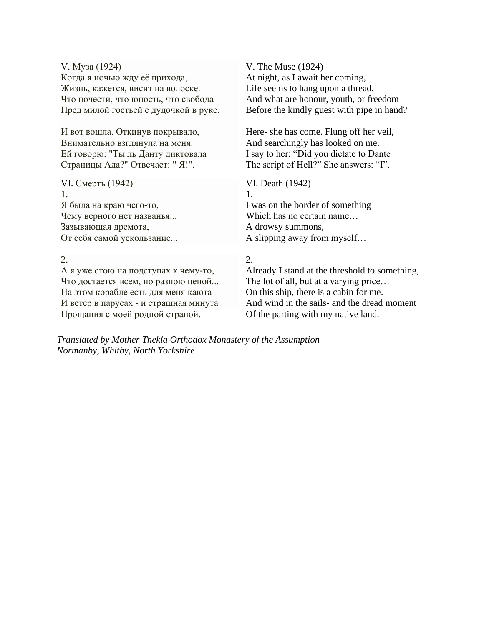| V. Mysa (1924)                        | V. The Muse (1924)                         |
|---------------------------------------|--------------------------------------------|
| Когда я ночью жду её прихода,         | At night, as I await her coming,           |
| Жизнь, кажется, висит на волоске.     | Life seems to hang upon a thread,          |
| Что почести, что юность, что свобода  | And what are honour, youth, or freedom     |
| Пред милой гостьей с дудочкой в руке. | Before the kindly guest with pipe in hand? |
| И вот вошла. Откинув покрывало,       | Here-she has come. Flung off her veil,     |
| Внимательно взглянула на меня.        | And searchingly has looked on me.          |
| Ей говорю: "Ты ль Данту диктовала     | I say to her: "Did you dictate to Dante    |
| Страницы Ада?" Отвечает: " Я!".       | The script of Hell?" She answers: "I".     |
| VI. Смерть (1942)                     | VI. Death (1942)                           |
| $1_{-}$                               | 1.                                         |
| Я была на краю чего-то,               | I was on the border of something           |
| Чему верного нет названья             | Which has no certain name                  |
| Зазывающая дремота,                   | A drowsy summons,                          |
| От себя самой ускользание             | A slipping away from myself                |

2.

2.

А я уже стою на подступах к чему-то, Что достается всем, но разною ценой... На этом корабле есть для меня каюта И ветер в парусах - и страшная минута Прощания с моей родной страной.

Already I stand at the threshold to something, The lot of all, but at a varying price… On this ship, there is a cabin for me. And wind in the sails- and the dread moment Of the parting with my native land.

*Translated by Mother Thekla Orthodox Monastery of the Assumption Normanby, Whitby, North Yorkshire*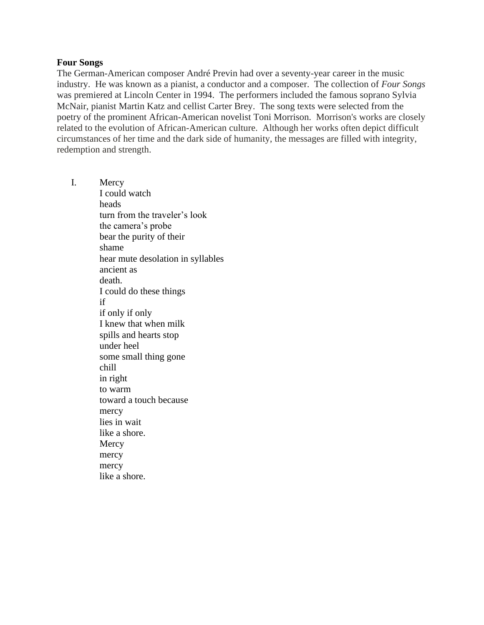#### **Four Songs**

The German-American composer André Previn had over a seventy-year career in the music industry. He was known as a pianist, a conductor and a composer. The collection of *Four Songs* was premiered at Lincoln Center in 1994. The performers included the famous soprano Sylvia McNair, pianist Martin Katz and cellist Carter Brey. The song texts were selected from the poetry of the prominent African-American novelist Toni Morrison. Morrison's works are closely related to the evolution of African-American culture. Although her works often depict difficult circumstances of her time and the dark side of humanity, the messages are filled with integrity, redemption and strength.

I. Mercy I could watch heads turn from the traveler's look the camera's probe bear the purity of their shame hear mute desolation in syllables ancient as death. I could do these things if if only if only I knew that when milk spills and hearts stop under heel some small thing gone chill in right to warm toward a touch because mercy lies in wait like a shore. **Mercy** mercy mercy like a shore.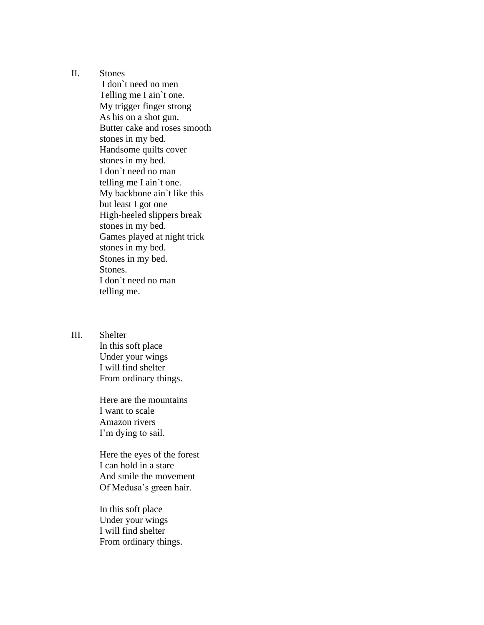II. Stones

 I don`t need no men Telling me I ain`t one. My trigger finger strong As his on a shot gun. Butter cake and roses smooth stones in my bed. Handsome quilts cover stones in my bed. I don`t need no man telling me I ain`t one. My backbone ain`t like this but least I got one High-heeled slippers break stones in my bed. Games played at night trick stones in my bed. Stones in my bed. Stones. I don`t need no man telling me.

III. Shelter

 In this soft place Under your wings I will find shelter From ordinary things.

Here are the mountains I want to scale Amazon rivers I'm dying to sail.

Here the eyes of the forest I can hold in a stare And smile the movement Of Medusa's green hair.

In this soft place Under your wings I will find shelter From ordinary things.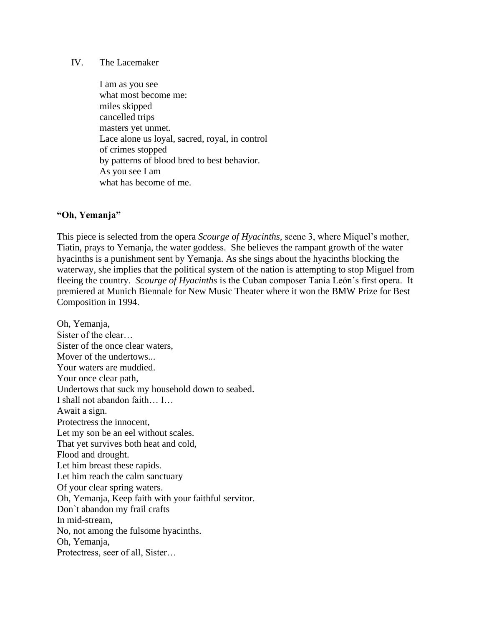#### IV. The Lacemaker

I am as you see what most become me: miles skipped cancelled trips masters yet unmet. Lace alone us loyal, sacred, royal, in control of crimes stopped by patterns of blood bred to best behavior. As you see I am what has become of me.

#### **"Oh, Yemanja"**

This piece is selected from the opera *Scourge of Hyacinths,* scene 3, where Miquel's mother, Tiatin, prays to Yemanja, the water goddess. She believes the rampant growth of the water hyacinths is a punishment sent by Yemanja. As she sings about the hyacinths blocking the waterway, she implies that the political system of the nation is attempting to stop Miguel from fleeing the country. *Scourge of Hyacinths* is the Cuban composer Tania León's first opera. It premiered at Munich Biennale for New Music Theater where it won the BMW Prize for Best Composition in 1994.

Oh, Yemanja, Sister of the clear… Sister of the once clear waters, Mover of the undertows... Your waters are muddied. Your once clear path, Undertows that suck my household down to seabed. I shall not abandon faith… I… Await a sign. Protectress the innocent, Let my son be an eel without scales. That yet survives both heat and cold, Flood and drought. Let him breast these rapids. Let him reach the calm sanctuary Of your clear spring waters. Oh, Yemanja, Keep faith with your faithful servitor. Don`t abandon my frail crafts In mid-stream, No, not among the fulsome hyacinths. Oh, Yemanja, Protectress, seer of all, Sister…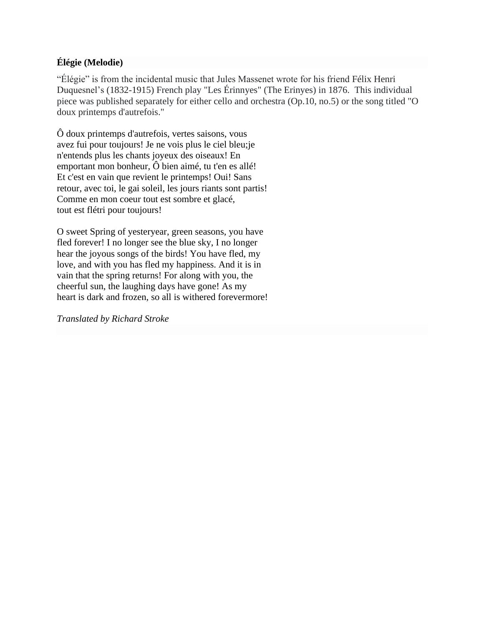## **Élégie (Melodie)**

"Élégie" is from the incidental music that Jules Massenet wrote for his friend Félix Henri Duquesnel's (1832-1915) French play "Les Érinnyes" (The Erinyes) in 1876. This individual piece was published separately for either cello and orchestra (Op.10, no.5) or the song titled "O doux printemps d'autrefois."

Ô doux printemps d'autrefois, vertes saisons, vous avez fui pour toujours! Je ne vois plus le ciel bleu;je n'entends plus les chants joyeux des oiseaux! En emportant mon bonheur, Ô bien aimé, tu t'en es allé! Et c'est en vain que revient le printemps! Oui! Sans retour, avec toi, le gai soleil, les jours riants sont partis! Comme en mon coeur tout est sombre et glacé, tout est flétri pour toujours!

O sweet Spring of yesteryear, green seasons, you have fled forever! I no longer see the blue sky, I no longer hear the joyous songs of the birds! You have fled, my love, and with you has fled my happiness. And it is in vain that the spring returns! For along with you, the cheerful sun, the laughing days have gone! As my heart is dark and frozen, so all is withered forevermore!

*Translated by Richard Stroke*